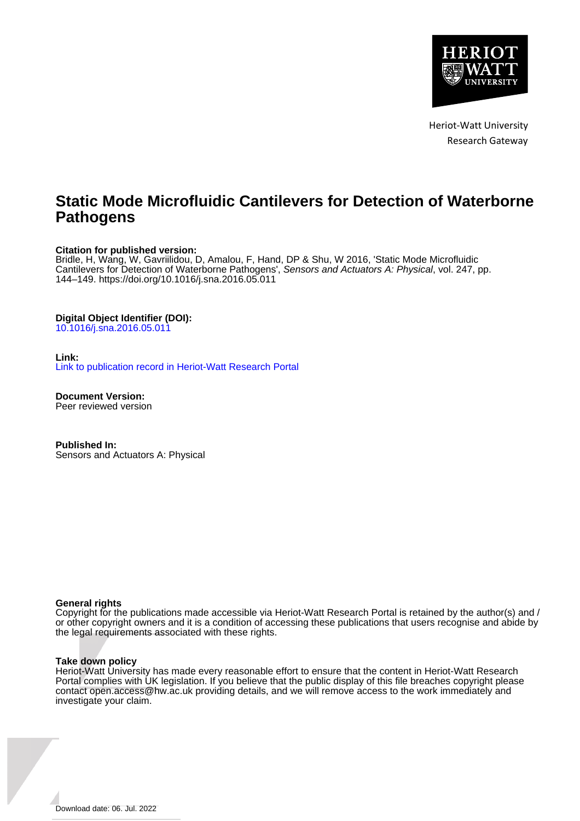

Heriot-Watt University Research Gateway

### **Static Mode Microfluidic Cantilevers for Detection of Waterborne Pathogens**

#### **Citation for published version:**

Bridle, H, Wang, W, Gavriilidou, D, Amalou, F, Hand, DP & Shu, W 2016, 'Static Mode Microfluidic Cantilevers for Detection of Waterborne Pathogens', Sensors and Actuators A: Physical, vol. 247, pp. 144–149.<https://doi.org/10.1016/j.sna.2016.05.011>

#### **Digital Object Identifier (DOI):**

[10.1016/j.sna.2016.05.011](https://doi.org/10.1016/j.sna.2016.05.011)

#### **Link:**

[Link to publication record in Heriot-Watt Research Portal](https://researchportal.hw.ac.uk/en/publications/f1a5f9ac-095f-47c0-8385-837a2241582c)

**Document Version:** Peer reviewed version

**Published In:** Sensors and Actuators A: Physical

#### **General rights**

Copyright for the publications made accessible via Heriot-Watt Research Portal is retained by the author(s) and / or other copyright owners and it is a condition of accessing these publications that users recognise and abide by the legal requirements associated with these rights.

#### **Take down policy**

Heriot-Watt University has made every reasonable effort to ensure that the content in Heriot-Watt Research Portal complies with UK legislation. If you believe that the public display of this file breaches copyright please contact open.access@hw.ac.uk providing details, and we will remove access to the work immediately and investigate your claim.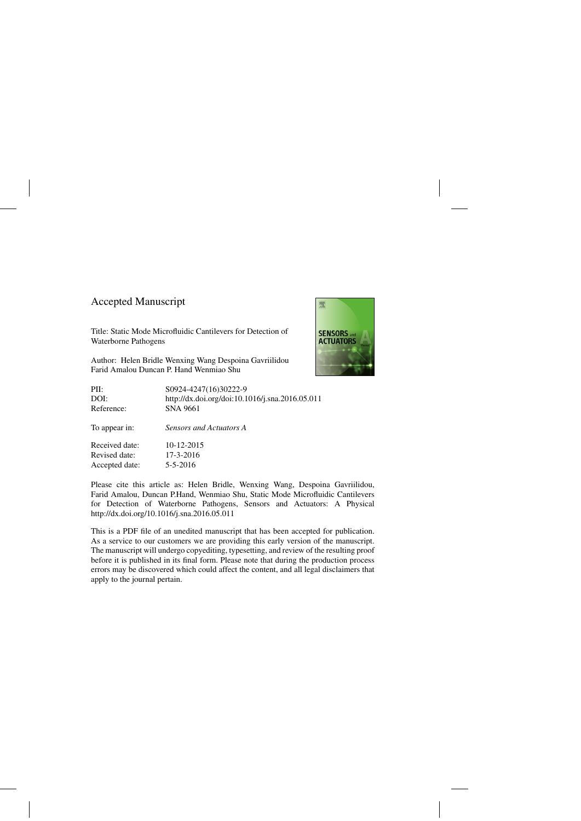### Accepted Manuscript

Accepted date: 5-5-2016

Title: Static Mode Microfluidic Cantilevers for Detection of Waterborne Pathogens

Author: Helen Bridle Wenxing Wang Despoina Gavriilidou Farid Amalou Duncan P. Hand Wenmiao Shu



| PII:           | S0924-4247(16)30222-9                           |
|----------------|-------------------------------------------------|
| DOI:           | http://dx.doi.org/doi:10.1016/j.sna.2016.05.011 |
| Reference:     | SNA 9661                                        |
| To appear in:  | Sensors and Actuators A                         |
| Received date: | 10-12-2015                                      |
| Revised date:  | $17 - 3 - 2016$                                 |

Please cite this article as: Helen Bridle, Wenxing Wang, Despoina Gavriilidou, Farid Amalou, Duncan P.Hand, Wenmiao Shu, Static Mode Microfluidic Cantilevers for Detection of Waterborne Pathogens, Sensors and Actuators: A Physical <http://dx.doi.org/10.1016/j.sna.2016.05.011>

This is a PDF file of an unedited manuscript that has been accepted for publication. As a service to our customers we are providing this early version of the manuscript. The manuscript will undergo copyediting, typesetting, and review of the resulting proof before it is published in its final form. Please note that during the production process errors may be discovered which could affect the content, and all legal disclaimers that apply to the journal pertain.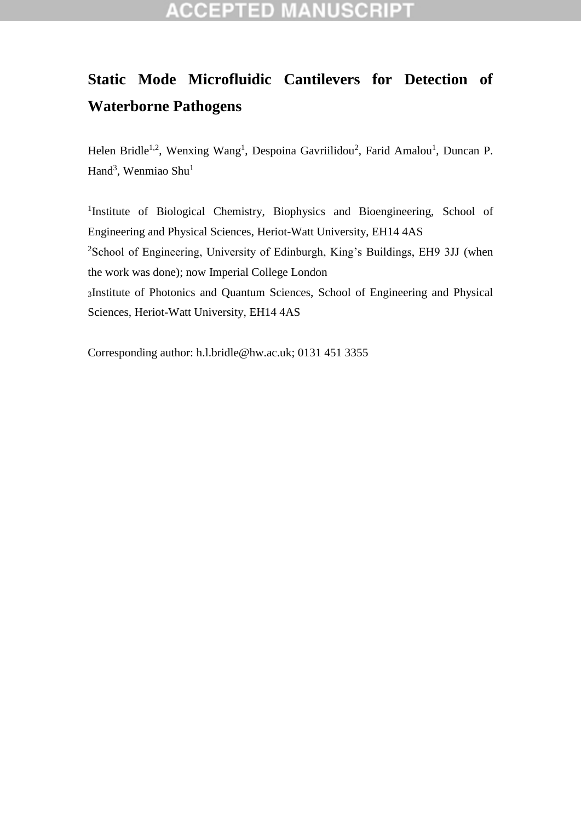# **Static Mode Microfluidic Cantilevers for Detection of Waterborne Pathogens**

Helen Bridle<sup>1,2</sup>, Wenxing Wang<sup>1</sup>, Despoina Gavriilidou<sup>2</sup>, Farid Amalou<sup>1</sup>, Duncan P. Hand<sup>3</sup>, Wenmiao Shu<sup>1</sup>

<sup>1</sup>Institute of Biological Chemistry, Biophysics and Bioengineering, School of Engineering and Physical Sciences, Heriot-Watt University, EH14 4AS <sup>2</sup>School of Engineering, University of Edinburgh, King's Buildings, EH9 3JJ (when the work was done); now Imperial College London <sup>3</sup>Institute of Photonics and Quantum Sciences, School of Engineering and Physical Sciences, Heriot-Watt University, EH14 4AS

Corresponding author: [h.l.bridle@hw.ac.uk;](mailto:h.l.bridle@hw.ac.uk) 0131 451 3355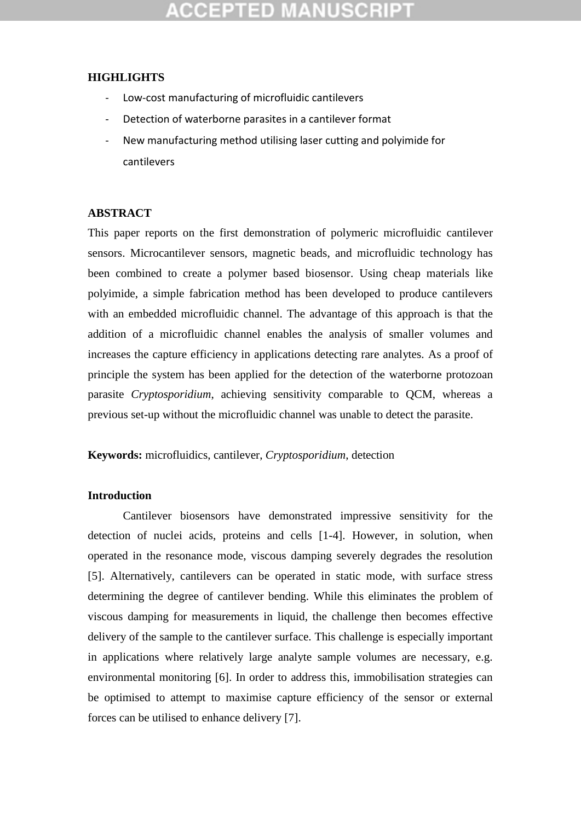### **HIGHLIGHTS**

- Low-cost manufacturing of microfluidic cantilevers
- Detection of waterborne parasites in a cantilever format
- New manufacturing method utilising laser cutting and polyimide for cantilevers

### **ABSTRACT**

This paper reports on the first demonstration of polymeric microfluidic cantilever sensors. Microcantilever sensors, magnetic beads, and microfluidic technology has been combined to create a polymer based biosensor. Using cheap materials like polyimide, a simple fabrication method has been developed to produce cantilevers with an embedded microfluidic channel. The advantage of this approach is that the addition of a microfluidic channel enables the analysis of smaller volumes and increases the capture efficiency in applications detecting rare analytes. As a proof of principle the system has been applied for the detection of the waterborne protozoan parasite *Cryptosporidium*, achieving sensitivity comparable to QCM, whereas a previous set-up without the microfluidic channel was unable to detect the parasite.

**Keywords:** microfluidics, cantilever, *Cryptosporidium*, detection

### **Introduction**

Cantilever biosensors have demonstrated impressive sensitivity for the detection of nuclei acids, proteins and cells [\[1-4\]](#page-11-0). However, in solution, when operated in the resonance mode, viscous damping severely degrades the resolution [\[5\]](#page-12-0). Alternatively, cantilevers can be operated in static mode, with surface stress determining the degree of cantilever bending. While this eliminates the problem of viscous damping for measurements in liquid, the challenge then becomes effective delivery of the sample to the cantilever surface. This challenge is especially important in applications where relatively large analyte sample volumes are necessary, e.g. environmental monitoring [\[6\]](#page-12-1). In order to address this, immobilisation strategies can be optimised to attempt to maximise capture efficiency of the sensor or external forces can be utilised to enhance delivery [\[7\]](#page-12-2).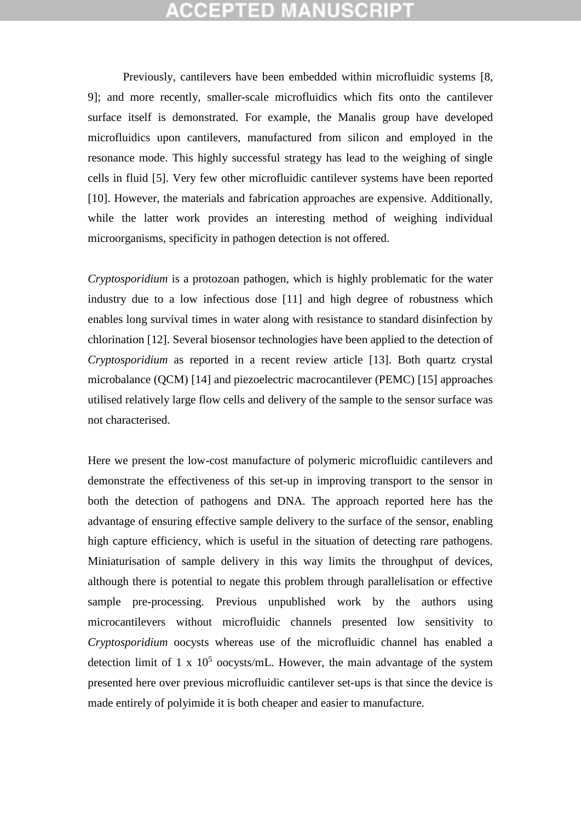Previously, cantilevers have been embedded within microfluidic systems [\[8,](#page-12-3) [9\]](#page-12-4); and more recently, smaller-scale microfluidics which fits onto the cantilever surface itself is demonstrated. For example, the Manalis group have developed microfluidics upon cantilevers, manufactured from silicon and employed in the resonance mode. This highly successful strategy has lead to the weighing of single cells in fluid [\[5\]](#page-12-0). Very few other microfluidic cantilever systems have been reported [\[10\]](#page-12-5). However, the materials and fabrication approaches are expensive. Additionally, while the latter work provides an interesting method of weighing individual microorganisms, specificity in pathogen detection is not offered.

*Cryptosporidium* is a protozoan pathogen, which is highly problematic for the water industry due to a low infectious dose [\[11\]](#page-12-6) and high degree of robustness which enables long survival times in water along with resistance to standard disinfection by chlorination [\[12\]](#page-12-7). Several biosensor technologies have been applied to the detection of *Cryptosporidium* as reported in a recent review article [\[13\]](#page-12-8). Both quartz crystal microbalance (QCM) [\[14\]](#page-12-9) and piezoelectric macrocantilever (PEMC) [\[15\]](#page-12-10) approaches utilised relatively large flow cells and delivery of the sample to the sensor surface was not characterised.

Here we present the low-cost manufacture of polymeric microfluidic cantilevers and demonstrate the effectiveness of this set-up in improving transport to the sensor in both the detection of pathogens and DNA. The approach reported here has the advantage of ensuring effective sample delivery to the surface of the sensor, enabling high capture efficiency, which is useful in the situation of detecting rare pathogens. Miniaturisation of sample delivery in this way limits the throughput of devices, although there is potential to negate this problem through parallelisation or effective sample pre-processing. Previous unpublished work by the authors using microcantilevers without microfluidic channels presented low sensitivity to *Cryptosporidium* oocysts whereas use of the microfluidic channel has enabled a detection limit of 1 x  $10<sup>5</sup>$  oocysts/mL. However, the main advantage of the system presented here over previous microfluidic cantilever set-ups is that since the device is made entirely of polyimide it is both cheaper and easier to manufacture.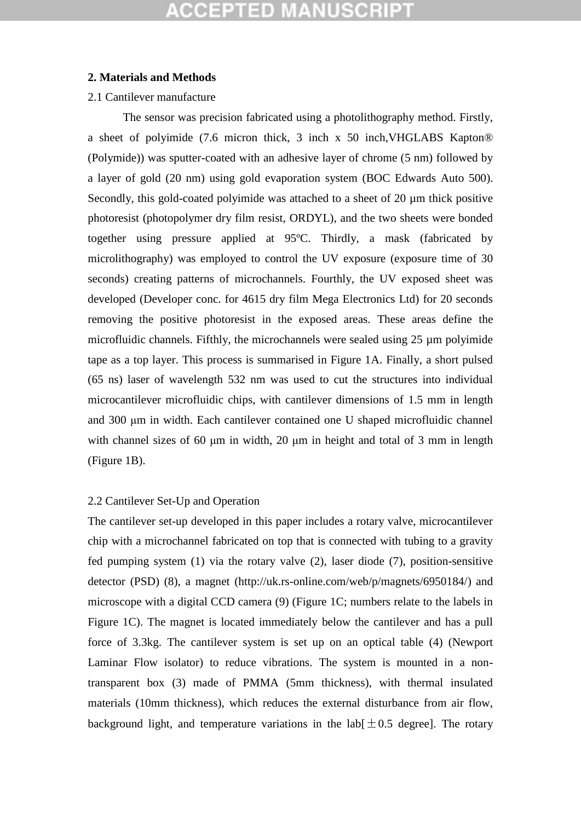#### **2. Materials and Methods**

#### 2.1 Cantilever manufacture

The sensor was precision fabricated using a photolithography method. Firstly, a sheet of polyimide (7.6 micron thick, 3 inch x 50 inch,VHGLABS Kapton® (Polymide)) was sputter-coated with an adhesive layer of chrome (5 nm) followed by a layer of gold (20 nm) using gold evaporation system (BOC Edwards Auto 500). Secondly, this gold-coated polyimide was attached to a sheet of 20  $\mu$ m thick positive photoresist (photopolymer dry film resist, ORDYL), and the two sheets were bonded together using pressure applied at 95ºC. Thirdly, a mask (fabricated by microlithography) was employed to control the UV exposure (exposure time of 30 seconds) creating patterns of microchannels. Fourthly, the UV exposed sheet was developed (Developer conc. for 4615 dry film Mega Electronics Ltd) for 20 seconds removing the positive photoresist in the exposed areas. These areas define the microfluidic channels. Fifthly, the microchannels were sealed using 25 µm polyimide tape as a top layer. This process is summarised in Figure 1A. Finally, a short pulsed (65 ns) laser of wavelength 532 nm was used to cut the structures into individual microcantilever microfluidic chips, with cantilever dimensions of 1.5 mm in length and 300 μm in width. Each cantilever contained one U shaped microfluidic channel with channel sizes of 60 μm in width, 20 μm in height and total of 3 mm in length (Figure 1B).

### 2.2 Cantilever Set-Up and Operation

The cantilever set-up developed in this paper includes a rotary valve, microcantilever chip with a microchannel fabricated on top that is connected with tubing to a gravity fed pumping system (1) via the rotary valve (2), laser diode (7), position-sensitive detector (PSD) (8), a magnet (http://uk.rs-online.com/web/p/magnets/6950184/) and microscope with a digital CCD camera (9) (Figure 1C; numbers relate to the labels in Figure 1C). The magnet is located immediately below the cantilever and has a pull force of 3.3kg. The cantilever system is set up on an optical table (4) (Newport Laminar Flow isolator) to reduce vibrations. The system is mounted in a nontransparent box (3) made of PMMA (5mm thickness), with thermal insulated materials (10mm thickness), which reduces the external disturbance from air flow, background light, and temperature variations in the lab $[\pm 0.5$  degree]. The rotary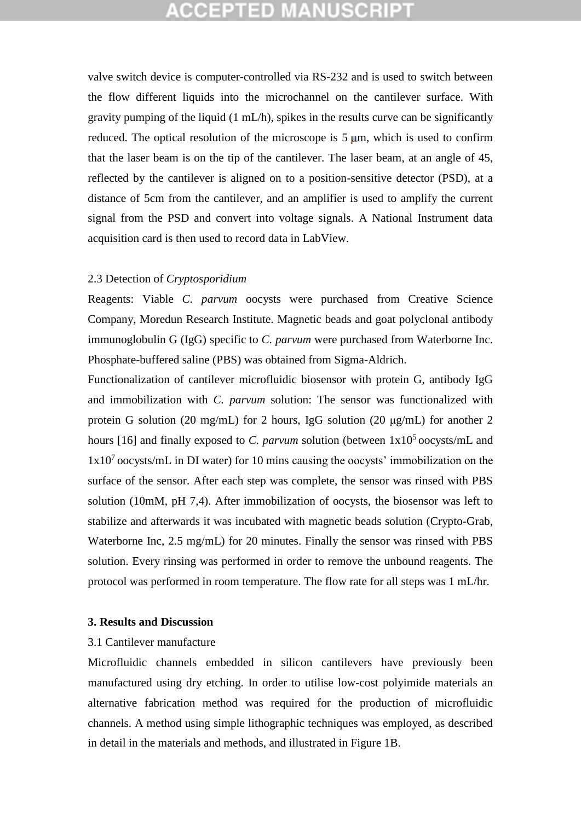valve switch device is computer-controlled via RS-232 and is used to switch between the flow different liquids into the microchannel on the cantilever surface. With gravity pumping of the liquid (1 mL/h), spikes in the results curve can be significantly reduced. The optical resolution of the microscope is  $5 \mu m$ , which is used to confirm that the laser beam is on the tip of the cantilever. The laser beam, at an angle of 45, reflected by the cantilever is aligned on to a position-sensitive detector (PSD), at a distance of 5cm from the cantilever, and an amplifier is used to amplify the current signal from the PSD and convert into voltage signals. A National Instrument data acquisition card is then used to record data in LabView.

#### 2.3 Detection of *Cryptosporidium*

Reagents: Viable *C. parvum* oocysts were purchased from Creative Science Company, Moredun Research Institute. Magnetic beads and goat polyclonal antibody immunoglobulin G (IgG) specific to *C. parvum* were purchased from Waterborne Inc. Phosphate-buffered saline (PBS) was obtained from Sigma-Aldrich.

Functionalization of cantilever microfluidic biosensor with protein G, antibody IgG and immobilization with *C. parvum* solution: The sensor was functionalized with protein G solution (20 mg/mL) for 2 hours, IgG solution (20 μg/mL) for another 2 hours [\[16\]](#page-13-0) and finally exposed to *C. parvum* solution (between  $1x10<sup>5</sup>$  oocysts/mL and 1x10<sup>7</sup> oocysts/mL in DI water) for 10 mins causing the oocysts' immobilization on the surface of the sensor. After each step was complete, the sensor was rinsed with PBS solution (10mM, pH 7,4). After immobilization of oocysts, the biosensor was left to stabilize and afterwards it was incubated with magnetic beads solution (Crypto-Grab, Waterborne Inc, 2.5 mg/mL) for 20 minutes. Finally the sensor was rinsed with PBS solution. Every rinsing was performed in order to remove the unbound reagents. The protocol was performed in room temperature. The flow rate for all steps was 1 mL/hr.

#### **3. Results and Discussion**

#### 3.1 Cantilever manufacture

Microfluidic channels embedded in silicon cantilevers have previously been manufactured using dry etching. In order to utilise low-cost polyimide materials an alternative fabrication method was required for the production of microfluidic channels. A method using simple lithographic techniques was employed, as described in detail in the materials and methods, and illustrated in Figure 1B.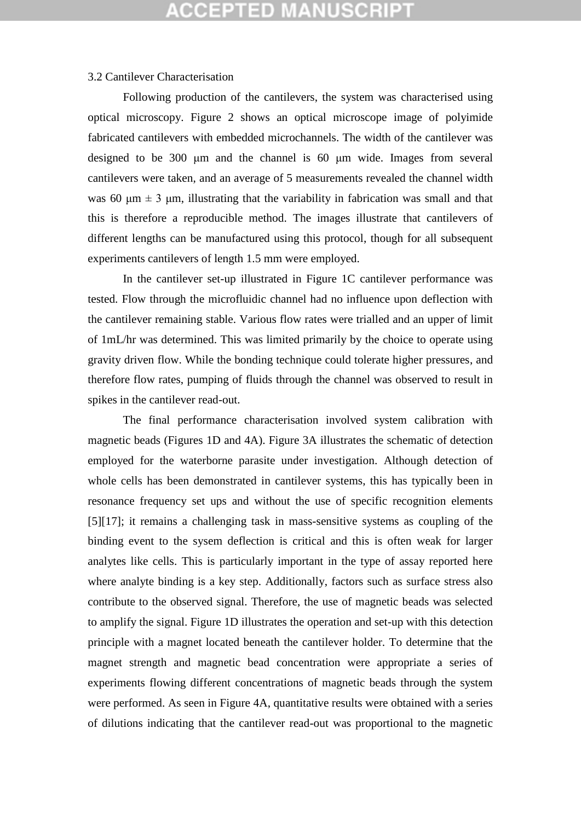#### 3.2 Cantilever Characterisation

Following production of the cantilevers, the system was characterised using optical microscopy. Figure 2 shows an optical microscope image of polyimide fabricated cantilevers with embedded microchannels. The width of the cantilever was designed to be 300 μm and the channel is 60 μm wide. Images from several cantilevers were taken, and an average of 5 measurements revealed the channel width was 60  $\mu$ m  $\pm$  3  $\mu$ m, illustrating that the variability in fabrication was small and that this is therefore a reproducible method. The images illustrate that cantilevers of different lengths can be manufactured using this protocol, though for all subsequent experiments cantilevers of length 1.5 mm were employed.

In the cantilever set-up illustrated in Figure 1C cantilever performance was tested. Flow through the microfluidic channel had no influence upon deflection with the cantilever remaining stable. Various flow rates were trialled and an upper of limit of 1mL/hr was determined. This was limited primarily by the choice to operate using gravity driven flow. While the bonding technique could tolerate higher pressures, and therefore flow rates, pumping of fluids through the channel was observed to result in spikes in the cantilever read-out.

The final performance characterisation involved system calibration with magnetic beads (Figures 1D and 4A). Figure 3A illustrates the schematic of detection employed for the waterborne parasite under investigation. Although detection of whole cells has been demonstrated in cantilever systems, this has typically been in resonance frequency set ups and without the use of specific recognition elements [5][\[17\]](#page-13-1); it remains a challenging task in mass-sensitive systems as coupling of the binding event to the sysem deflection is critical and this is often weak for larger analytes like cells. This is particularly important in the type of assay reported here where analyte binding is a key step. Additionally, factors such as surface stress also contribute to the observed signal. Therefore, the use of magnetic beads was selected to amplify the signal. Figure 1D illustrates the operation and set-up with this detection principle with a magnet located beneath the cantilever holder. To determine that the magnet strength and magnetic bead concentration were appropriate a series of experiments flowing different concentrations of magnetic beads through the system were performed. As seen in Figure 4A, quantitative results were obtained with a series of dilutions indicating that the cantilever read-out was proportional to the magnetic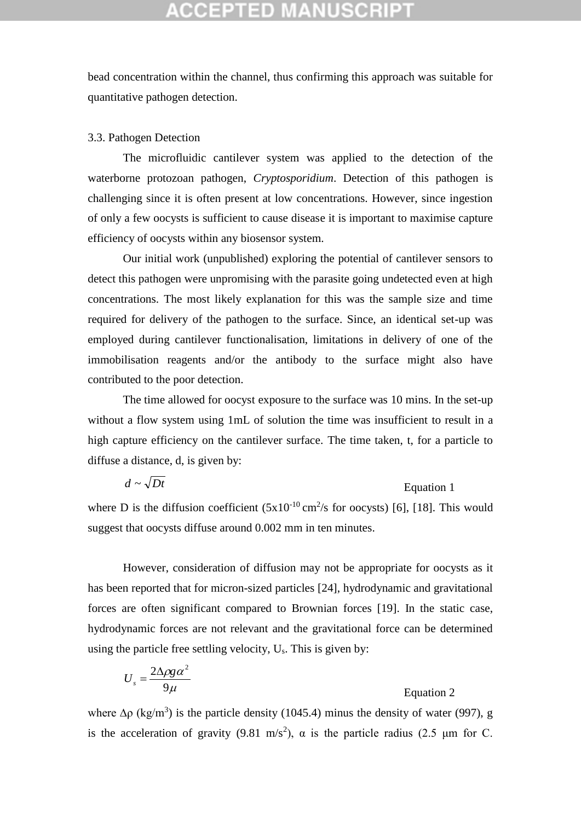bead concentration within the channel, thus confirming this approach was suitable for quantitative pathogen detection.

#### 3.3. Pathogen Detection

The microfluidic cantilever system was applied to the detection of the waterborne protozoan pathogen, *Cryptosporidium*. Detection of this pathogen is challenging since it is often present at low concentrations. However, since ingestion of only a few oocysts is sufficient to cause disease it is important to maximise capture efficiency of oocysts within any biosensor system.

Our initial work (unpublished) exploring the potential of cantilever sensors to detect this pathogen were unpromising with the parasite going undetected even at high concentrations. The most likely explanation for this was the sample size and time required for delivery of the pathogen to the surface. Since, an identical set-up was employed during cantilever functionalisation, limitations in delivery of one of the immobilisation reagents and/or the antibody to the surface might also have contributed to the poor detection.

The time allowed for oocyst exposure to the surface was 10 mins. In the set-up without a flow system using 1mL of solution the time was insufficient to result in a high capture efficiency on the cantilever surface. The time taken, t, for a particle to diffuse a distance, d, is given by:

$$
d \sim \sqrt{Dt}
$$
 Equation 1

where D is the diffusion coefficient  $(5x10^{-10} \text{ cm}^2/\text{s}$  for oocysts) [\[6\]](#page-12-1), [\[18\]](#page-13-2). This would suggest that oocysts diffuse around 0.002 mm in ten minutes.

However, consideration of diffusion may not be appropriate for oocysts as it has been reported that for micron-sized particles [24], hydrodynamic and gravitational forces are often significant compared to Brownian forces [\[19\]](#page-13-3). In the static case, hydrodynamic forces are not relevant and the gravitational force can be determined using the particle free settling velocity, Us. This is given by:

$$
U_s = \frac{2\Delta\rho g \alpha^2}{9\mu}
$$
 Equation 2

where  $\Delta \rho$  (kg/m<sup>3</sup>) is the particle density (1045.4) minus the density of water (997), g is the acceleration of gravity (9.81 m/s<sup>2</sup>),  $\alpha$  is the particle radius (2.5  $\mu$ m for C.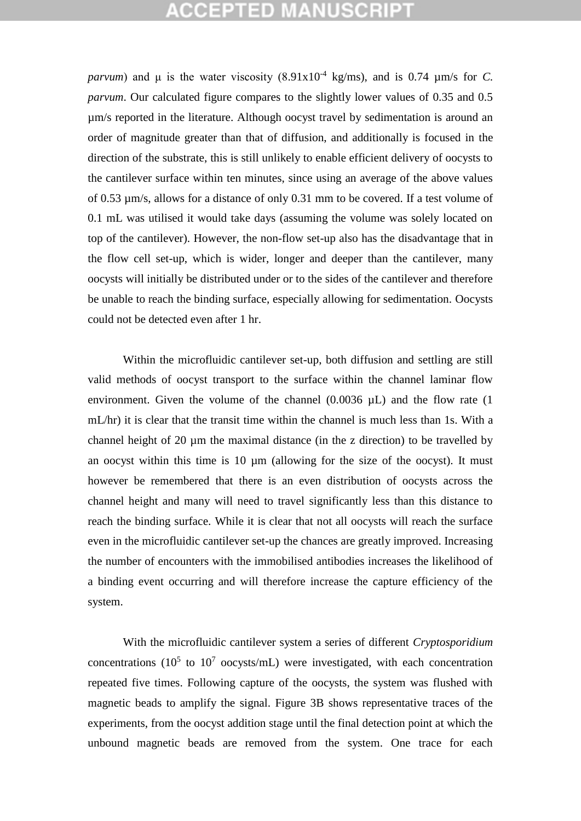*parvum*) and  $\mu$  is the water viscosity (8.91x10<sup>-4</sup> kg/ms), and is 0.74  $\mu$ m/s for *C*. *parvum*. Our calculated figure compares to the slightly lower values of 0.35 and 0.5 µm/s reported in the literature. Although oocyst travel by sedimentation is around an order of magnitude greater than that of diffusion, and additionally is focused in the direction of the substrate, this is still unlikely to enable efficient delivery of oocysts to the cantilever surface within ten minutes, since using an average of the above values of 0.53 µm/s, allows for a distance of only 0.31 mm to be covered. If a test volume of 0.1 mL was utilised it would take days (assuming the volume was solely located on top of the cantilever). However, the non-flow set-up also has the disadvantage that in the flow cell set-up, which is wider, longer and deeper than the cantilever, many oocysts will initially be distributed under or to the sides of the cantilever and therefore be unable to reach the binding surface, especially allowing for sedimentation. Oocysts could not be detected even after 1 hr.

Within the microfluidic cantilever set-up, both diffusion and settling are still valid methods of oocyst transport to the surface within the channel laminar flow environment. Given the volume of the channel (0.0036  $\mu$ L) and the flow rate (1 mL/hr) it is clear that the transit time within the channel is much less than 1s. With a channel height of 20 µm the maximal distance (in the z direction) to be travelled by an oocyst within this time is  $10 \mu m$  (allowing for the size of the oocyst). It must however be remembered that there is an even distribution of oocysts across the channel height and many will need to travel significantly less than this distance to reach the binding surface. While it is clear that not all oocysts will reach the surface even in the microfluidic cantilever set-up the chances are greatly improved. Increasing the number of encounters with the immobilised antibodies increases the likelihood of a binding event occurring and will therefore increase the capture efficiency of the system.

With the microfluidic cantilever system a series of different *Cryptosporidium* concentrations ( $10^5$  to  $10^7$  oocysts/mL) were investigated, with each concentration repeated five times. Following capture of the oocysts, the system was flushed with magnetic beads to amplify the signal. Figure 3B shows representative traces of the experiments, from the oocyst addition stage until the final detection point at which the unbound magnetic beads are removed from the system. One trace for each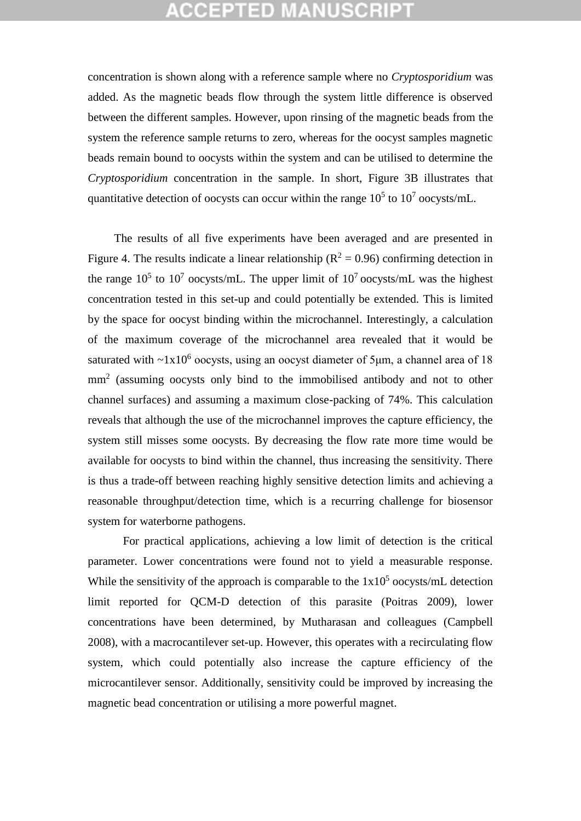concentration is shown along with a reference sample where no *Cryptosporidium* was added. As the magnetic beads flow through the system little difference is observed between the different samples. However, upon rinsing of the magnetic beads from the system the reference sample returns to zero, whereas for the oocyst samples magnetic beads remain bound to oocysts within the system and can be utilised to determine the *Cryptosporidium* concentration in the sample. In short, Figure 3B illustrates that quantitative detection of oocysts can occur within the range  $10^5$  to  $10^7$  oocysts/mL.

 The results of all five experiments have been averaged and are presented in Figure 4. The results indicate a linear relationship ( $\mathbb{R}^2 = 0.96$ ) confirming detection in the range  $10^5$  to  $10^7$  oocysts/mL. The upper limit of  $10^7$  oocysts/mL was the highest concentration tested in this set-up and could potentially be extended. This is limited by the space for oocyst binding within the microchannel. Interestingly, a calculation of the maximum coverage of the microchannel area revealed that it would be saturated with  $\sim 1x10^6$  oocysts, using an oocyst diameter of 5 $\mu$ m, a channel area of 18 mm<sup>2</sup> (assuming oocysts only bind to the immobilised antibody and not to other channel surfaces) and assuming a maximum close-packing of 74%. This calculation reveals that although the use of the microchannel improves the capture efficiency, the system still misses some oocysts. By decreasing the flow rate more time would be available for oocysts to bind within the channel, thus increasing the sensitivity. There is thus a trade-off between reaching highly sensitive detection limits and achieving a reasonable throughput/detection time, which is a recurring challenge for biosensor system for waterborne pathogens.

For practical applications, achieving a low limit of detection is the critical parameter. Lower concentrations were found not to yield a measurable response. While the sensitivity of the approach is comparable to the  $1x10<sup>5</sup>$  oocysts/mL detection limit reported for QCM-D detection of this parasite (Poitras 2009), lower concentrations have been determined, by Mutharasan and colleagues (Campbell 2008), with a macrocantilever set-up. However, this operates with a recirculating flow system, which could potentially also increase the capture efficiency of the microcantilever sensor. Additionally, sensitivity could be improved by increasing the magnetic bead concentration or utilising a more powerful magnet.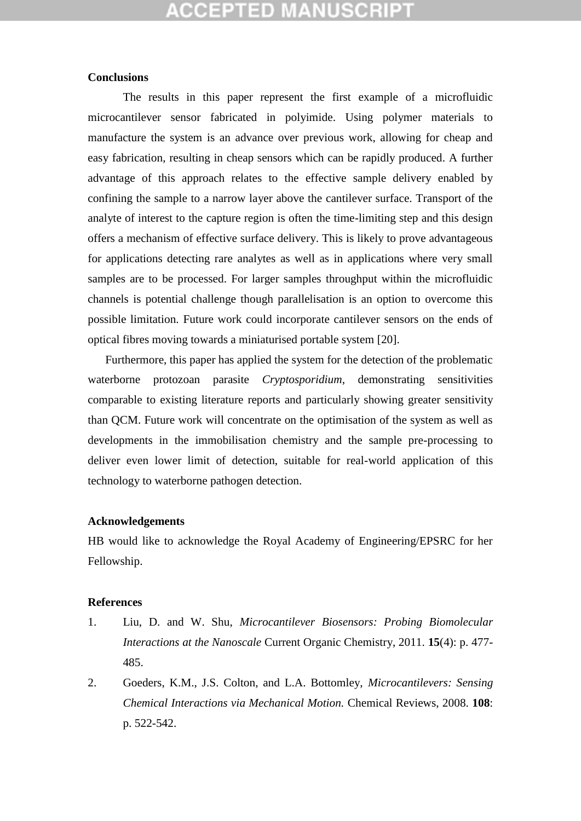#### **Conclusions**

The results in this paper represent the first example of a microfluidic microcantilever sensor fabricated in polyimide. Using polymer materials to manufacture the system is an advance over previous work, allowing for cheap and easy fabrication, resulting in cheap sensors which can be rapidly produced. A further advantage of this approach relates to the effective sample delivery enabled by confining the sample to a narrow layer above the cantilever surface. Transport of the analyte of interest to the capture region is often the time-limiting step and this design offers a mechanism of effective surface delivery. This is likely to prove advantageous for applications detecting rare analytes as well as in applications where very small samples are to be processed. For larger samples throughput within the microfluidic channels is potential challenge though parallelisation is an option to overcome this possible limitation. Future work could incorporate cantilever sensors on the ends of optical fibres moving towards a miniaturised portable system [\[20\]](#page-13-4).

Furthermore, this paper has applied the system for the detection of the problematic waterborne protozoan parasite *Cryptosporidium*, demonstrating sensitivities comparable to existing literature reports and particularly showing greater sensitivity than QCM. Future work will concentrate on the optimisation of the system as well as developments in the immobilisation chemistry and the sample pre-processing to deliver even lower limit of detection, suitable for real-world application of this technology to waterborne pathogen detection.

#### **Acknowledgements**

HB would like to acknowledge the Royal Academy of Engineering/EPSRC for her Fellowship.

#### **References**

- <span id="page-11-0"></span>1. Liu, D. and W. Shu, *Microcantilever Biosensors: Probing Biomolecular Interactions at the Nanoscale* Current Organic Chemistry, 2011. **15**(4): p. 477- 485.
- 2. Goeders, K.M., J.S. Colton, and L.A. Bottomley, *Microcantilevers: Sensing Chemical Interactions via Mechanical Motion.* Chemical Reviews, 2008. **108**: p. 522-542.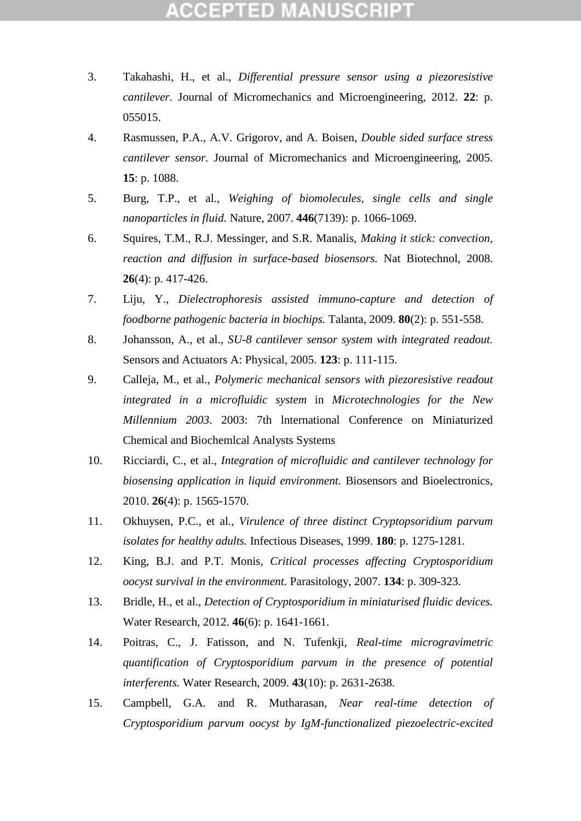### CCEPTED M

- 3. Takahashi, H., et al., *Differential pressure sensor using a piezoresistive cantilever.* Journal of Micromechanics and Microengineering, 2012. **22**: p. 055015.
- 4. Rasmussen, P.A., A.V. Grigorov, and A. Boisen, *Double sided surface stress cantilever sensor.* Journal of Micromechanics and Microengineering, 2005. **15**: p. 1088.
- <span id="page-12-0"></span>5. Burg, T.P., et al., *Weighing of biomolecules, single cells and single nanoparticles in fluid.* Nature, 2007. **446**(7139): p. 1066-1069.
- <span id="page-12-1"></span>6. Squires, T.M., R.J. Messinger, and S.R. Manalis, *Making it stick: convection, reaction and diffusion in surface-based biosensors.* Nat Biotechnol, 2008. **26**(4): p. 417-426.
- <span id="page-12-2"></span>7. Liju, Y., *Dielectrophoresis assisted immuno-capture and detection of foodborne pathogenic bacteria in biochips.* Talanta, 2009. **80**(2): p. 551-558.
- <span id="page-12-3"></span>8. Johansson, A., et al., *SU-8 cantilever sensor system with integrated readout.* Sensors and Actuators A: Physical, 2005. **123**: p. 111-115.
- <span id="page-12-4"></span>9. Calleja, M., et al., *Polymeric mechanical sensors with piezoresistive readout integrated in a microfluidic system* in *Microtechnologies for the New Millennium 2003*. 2003: 7th lnternational Conference on Miniaturized Chemical and Biochemlcal Analysts Systems
- <span id="page-12-5"></span>10. Ricciardi, C., et al., *Integration of microfluidic and cantilever technology for biosensing application in liquid environment.* Biosensors and Bioelectronics, 2010. **26**(4): p. 1565-1570.
- <span id="page-12-6"></span>11. Okhuysen, P.C., et al., *Virulence of three distinct Cryptopsoridium parvum isolates for healthy adults.* Infectious Diseases, 1999. **180**: p. 1275-1281.
- <span id="page-12-7"></span>12. King, B.J. and P.T. Monis, *Critical processes affecting Cryptosporidium oocyst survival in the environment.* Parasitology, 2007. **134**: p. 309-323.
- <span id="page-12-8"></span>13. Bridle, H., et al., *Detection of Cryptosporidium in miniaturised fluidic devices.* Water Research, 2012. **46**(6): p. 1641-1661.
- <span id="page-12-9"></span>14. Poitras, C., J. Fatisson, and N. Tufenkji, *Real-time microgravimetric quantification of Cryptosporidium parvum in the presence of potential interferents.* Water Research, 2009. **43**(10): p. 2631-2638.
- <span id="page-12-10"></span>15. Campbell, G.A. and R. Mutharasan, *Near real-time detection of Cryptosporidium parvum oocyst by IgM-functionalized piezoelectric-excited*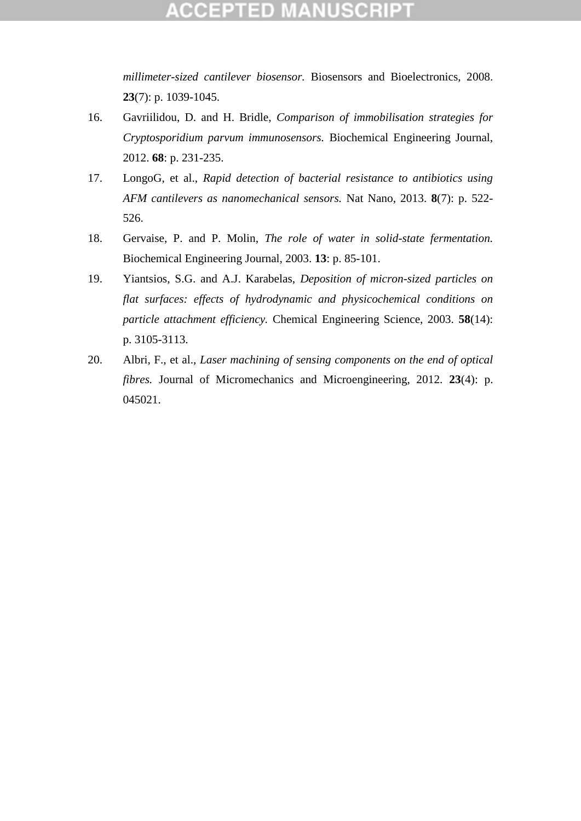*millimeter-sized cantilever biosensor.* Biosensors and Bioelectronics, 2008. **23**(7): p. 1039-1045.

- <span id="page-13-0"></span>16. Gavriilidou, D. and H. Bridle, *Comparison of immobilisation strategies for Cryptosporidium parvum immunosensors.* Biochemical Engineering Journal, 2012. **68**: p. 231-235.
- <span id="page-13-1"></span>17. LongoG, et al., *Rapid detection of bacterial resistance to antibiotics using AFM cantilevers as nanomechanical sensors.* Nat Nano, 2013. **8**(7): p. 522- 526.
- <span id="page-13-2"></span>18. Gervaise, P. and P. Molin, *The role of water in solid-state fermentation.* Biochemical Engineering Journal, 2003. **13**: p. 85-101.
- <span id="page-13-3"></span>19. Yiantsios, S.G. and A.J. Karabelas, *Deposition of micron-sized particles on flat surfaces: effects of hydrodynamic and physicochemical conditions on particle attachment efficiency.* Chemical Engineering Science, 2003. **58**(14): p. 3105-3113.
- <span id="page-13-4"></span>20. Albri, F., et al., *Laser machining of sensing components on the end of optical fibres.* Journal of Micromechanics and Microengineering, 2012. **23**(4): p. 045021.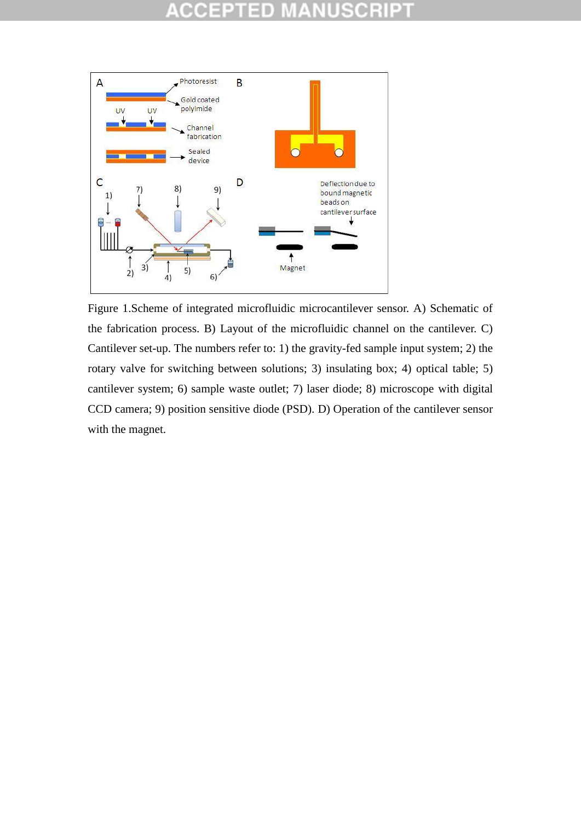#### ופ CC D



Figure 1.Scheme of integrated microfluidic microcantilever sensor. A) Schematic of the fabrication process. B) Layout of the microfluidic channel on the cantilever. C) Cantilever set-up. The numbers refer to: 1) the gravity-fed sample input system; 2) the rotary valve for switching between solutions; 3) insulating box; 4) optical table; 5) cantilever system; 6) sample waste outlet; 7) laser diode; 8) microscope with digital CCD camera; 9) position sensitive diode (PSD). D) Operation of the cantilever sensor with the magnet.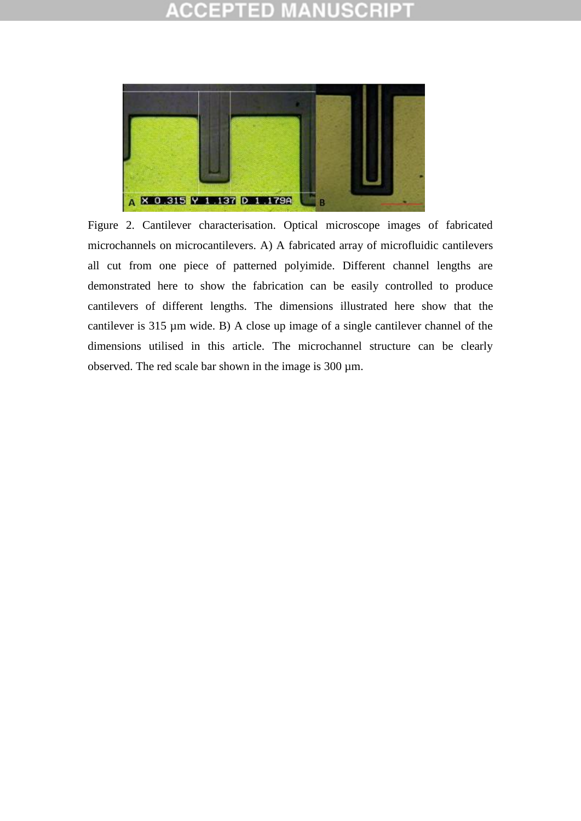### CEPTED

![](_page_15_Picture_1.jpeg)

Figure 2. Cantilever characterisation. Optical microscope images of fabricated microchannels on microcantilevers. A) A fabricated array of microfluidic cantilevers all cut from one piece of patterned polyimide. Different channel lengths are demonstrated here to show the fabrication can be easily controlled to produce cantilevers of different lengths. The dimensions illustrated here show that the cantilever is 315 µm wide. B) A close up image of a single cantilever channel of the dimensions utilised in this article. The microchannel structure can be clearly observed. The red scale bar shown in the image is 300 µm.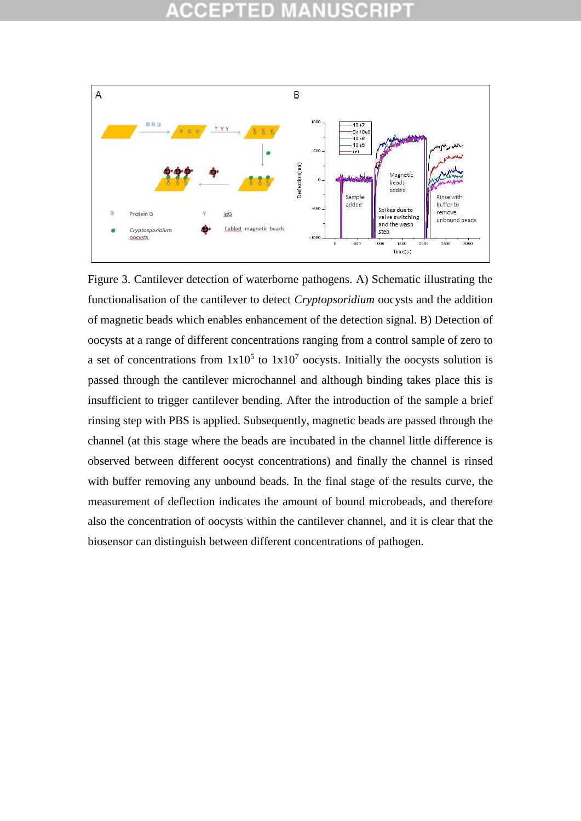![](_page_16_Figure_1.jpeg)

Figure 3. Cantilever detection of waterborne pathogens. A) Schematic illustrating the functionalisation of the cantilever to detect *Cryptopsoridium* oocysts and the addition of magnetic beads which enables enhancement of the detection signal. B) Detection of oocysts at a range of different concentrations ranging from a control sample of zero to a set of concentrations from  $1x10^5$  to  $1x10^7$  oocysts. Initially the oocysts solution is passed through the cantilever microchannel and although binding takes place this is insufficient to trigger cantilever bending. After the introduction of the sample a brief rinsing step with PBS is applied. Subsequently, magnetic beads are passed through the channel (at this stage where the beads are incubated in the channel little difference is observed between different oocyst concentrations) and finally the channel is rinsed with buffer removing any unbound beads. In the final stage of the results curve, the measurement of deflection indicates the amount of bound microbeads, and therefore also the concentration of oocysts within the cantilever channel, and it is clear that the biosensor can distinguish between different concentrations of pathogen.